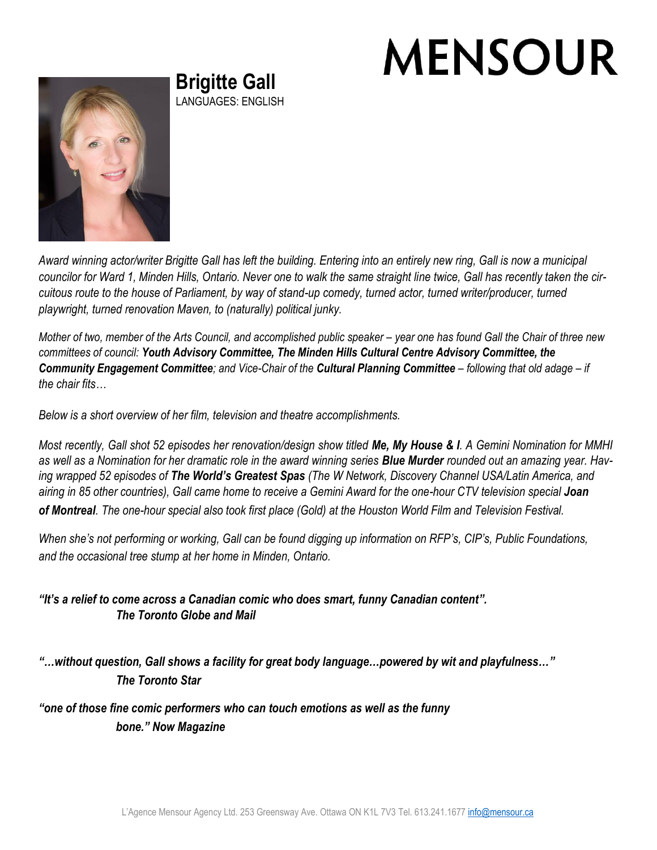## **MENSOUR**



**Brigitte Gall** LANGUAGES: ENGLISH

*Award winning actor/writer Brigitte Gall has left the building. Entering into an entirely new ring, Gall is now a municipal councilor for Ward 1, Minden Hills, Ontario. Never one to walk the same straight line twice, Gall has recently taken the circuitous route to the house of Parliament, by way of stand-up comedy, turned actor, turned writer/producer, turned playwright, turned renovation Maven, to (naturally) political junky.*

*Mother of two, member of the Arts Council, and accomplished public speaker – year one has found Gall the Chair of three new committees of council: Youth Advisory Committee, The Minden Hills Cultural Centre Advisory Committee, the Community Engagement Committee; and Vice-Chair of the Cultural Planning Committee – following that old adage – if the chair fits…*

*Below is a short overview of her film, television and theatre accomplishments.*

*Most recently, Gall shot 52 episodes her renovation/design show titled Me, My House & I. A Gemini Nomination for MMHI as well as a Nomination for her dramatic role in the award winning series Blue Murder rounded out an amazing year. Having wrapped 52 episodes of The World's Greatest Spas (The W Network, Discovery Channel USA/Latin America, and airing in 85 other countries), Gall came home to receive a Gemini Award for the one-hour CTV television special Joan of Montreal. The one-hour special also took first place (Gold) at the Houston World Film and Television Festival.*

*When she's not performing or working, Gall can be found digging up information on RFP's, CIP's, Public Foundations, and the occasional tree stump at her home in Minden, Ontario.*

*"It's a relief to come across a Canadian comic who does smart, funny Canadian content". The Toronto Globe and Mail*

*"…without question, Gall shows a facility for great body language…powered by wit and playfulness…" The Toronto Star*

*"one of those fine comic performers who can touch emotions as well as the funny bone." Now Magazine*